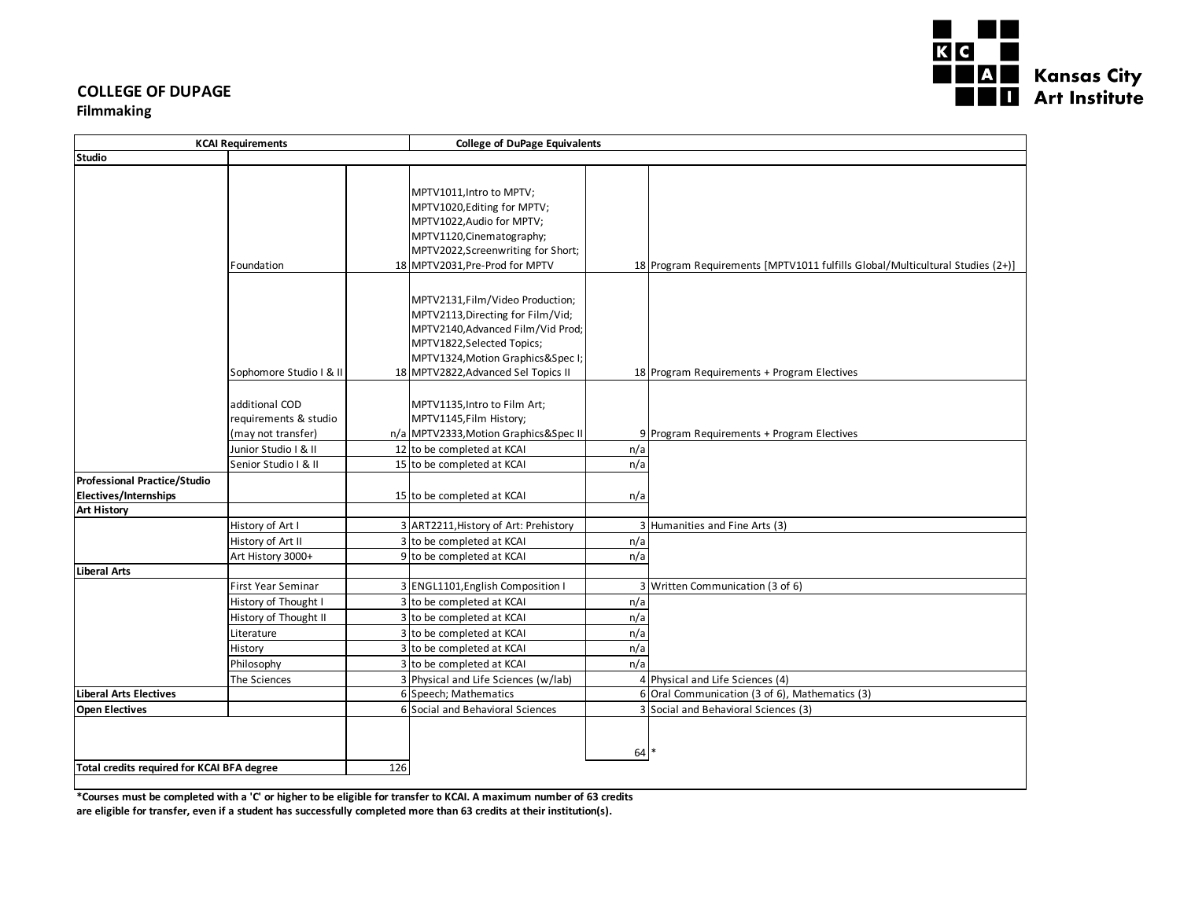

# **COLLEGE OF DUPAGE**

### **Filmmaking**

| <b>KCAI Requirements</b>                   |                           | <b>College of DuPage Equivalents</b> |                                         |     |                                                                               |
|--------------------------------------------|---------------------------|--------------------------------------|-----------------------------------------|-----|-------------------------------------------------------------------------------|
| <b>Studio</b>                              |                           |                                      |                                         |     |                                                                               |
|                                            |                           |                                      |                                         |     |                                                                               |
|                                            |                           |                                      | MPTV1011, Intro to MPTV;                |     |                                                                               |
|                                            |                           |                                      | MPTV1020, Editing for MPTV;             |     |                                                                               |
|                                            |                           |                                      | MPTV1022, Audio for MPTV;               |     |                                                                               |
|                                            |                           |                                      | MPTV1120, Cinematography;               |     |                                                                               |
|                                            |                           |                                      | MPTV2022, Screenwriting for Short;      |     |                                                                               |
|                                            | Foundation                |                                      | 18 MPTV2031, Pre-Prod for MPTV          |     | 18 Program Requirements [MPTV1011 fulfills Global/Multicultural Studies (2+)] |
|                                            |                           |                                      |                                         |     |                                                                               |
|                                            |                           |                                      |                                         |     |                                                                               |
|                                            |                           |                                      | MPTV2131, Film/Video Production;        |     |                                                                               |
|                                            |                           |                                      | MPTV2113, Directing for Film/Vid;       |     |                                                                               |
|                                            |                           |                                      | MPTV2140, Advanced Film/Vid Prod;       |     |                                                                               |
|                                            |                           |                                      | MPTV1822, Selected Topics;              |     |                                                                               |
|                                            |                           |                                      | MPTV1324, Motion Graphics & Spec I;     |     |                                                                               |
|                                            | Sophomore Studio I & II   |                                      | 18 MPTV2822, Advanced Sel Topics II     |     | 18 Program Requirements + Program Electives                                   |
|                                            |                           |                                      |                                         |     |                                                                               |
|                                            | additional COD            |                                      | MPTV1135, Intro to Film Art;            |     |                                                                               |
|                                            | requirements & studio     |                                      | MPTV1145, Film History;                 |     |                                                                               |
|                                            | (may not transfer)        |                                      | n/a MPTV2333, Motion Graphics & Spec II |     | 9 Program Requirements + Program Electives                                    |
|                                            | Junior Studio I & II      |                                      | 12 to be completed at KCAI              | n/a |                                                                               |
|                                            | Senior Studio I & II      |                                      | 15 to be completed at KCAI              | n/a |                                                                               |
| <b>Professional Practice/Studio</b>        |                           |                                      |                                         |     |                                                                               |
| <b>Electives/Internships</b>               |                           |                                      | 15 to be completed at KCAI              | n/a |                                                                               |
| <b>Art History</b>                         |                           |                                      |                                         |     |                                                                               |
|                                            | History of Art I          |                                      | 3 ART2211, History of Art: Prehistory   |     | 3 Humanities and Fine Arts (3)                                                |
|                                            | History of Art II         |                                      | 3 to be completed at KCAI               | n/a |                                                                               |
|                                            | Art History 3000+         |                                      | 9 to be completed at KCAI               | n/a |                                                                               |
| <b>Liberal Arts</b>                        |                           |                                      |                                         |     |                                                                               |
|                                            | <b>First Year Seminar</b> |                                      | 3 ENGL1101, English Composition I       |     | 3 Written Communication (3 of 6)                                              |
|                                            | History of Thought I      |                                      | 3 to be completed at KCAI               | n/a |                                                                               |
|                                            | History of Thought II     |                                      | 3 to be completed at KCAI               | n/a |                                                                               |
|                                            | Literature                |                                      | 3 to be completed at KCAI               | n/a |                                                                               |
|                                            | History                   |                                      | 3 to be completed at KCAI               | n/a |                                                                               |
|                                            | Philosophy                |                                      | 3 to be completed at KCAI               | n/a |                                                                               |
|                                            | The Sciences              |                                      | 3 Physical and Life Sciences (w/lab)    |     | 4 Physical and Life Sciences (4)                                              |
| <b>Liberal Arts Electives</b>              |                           |                                      | 6 Speech; Mathematics                   |     | 6 Oral Communication (3 of 6), Mathematics (3)                                |
| <b>Open Electives</b>                      |                           |                                      | 6 Social and Behavioral Sciences        |     | 3 Social and Behavioral Sciences (3)                                          |
|                                            |                           |                                      |                                         |     |                                                                               |
|                                            |                           |                                      |                                         |     |                                                                               |
| Total credits required for KCAI BFA degree |                           |                                      | $64*$                                   |     |                                                                               |
|                                            |                           | 126                                  |                                         |     |                                                                               |

**\*Courses must be completed with a 'C' or higher to be eligible for transfer to KCAI. A maximum number of 63 credits are eligible for transfer, even if a student has successfully completed more than 63 credits at their institution(s).**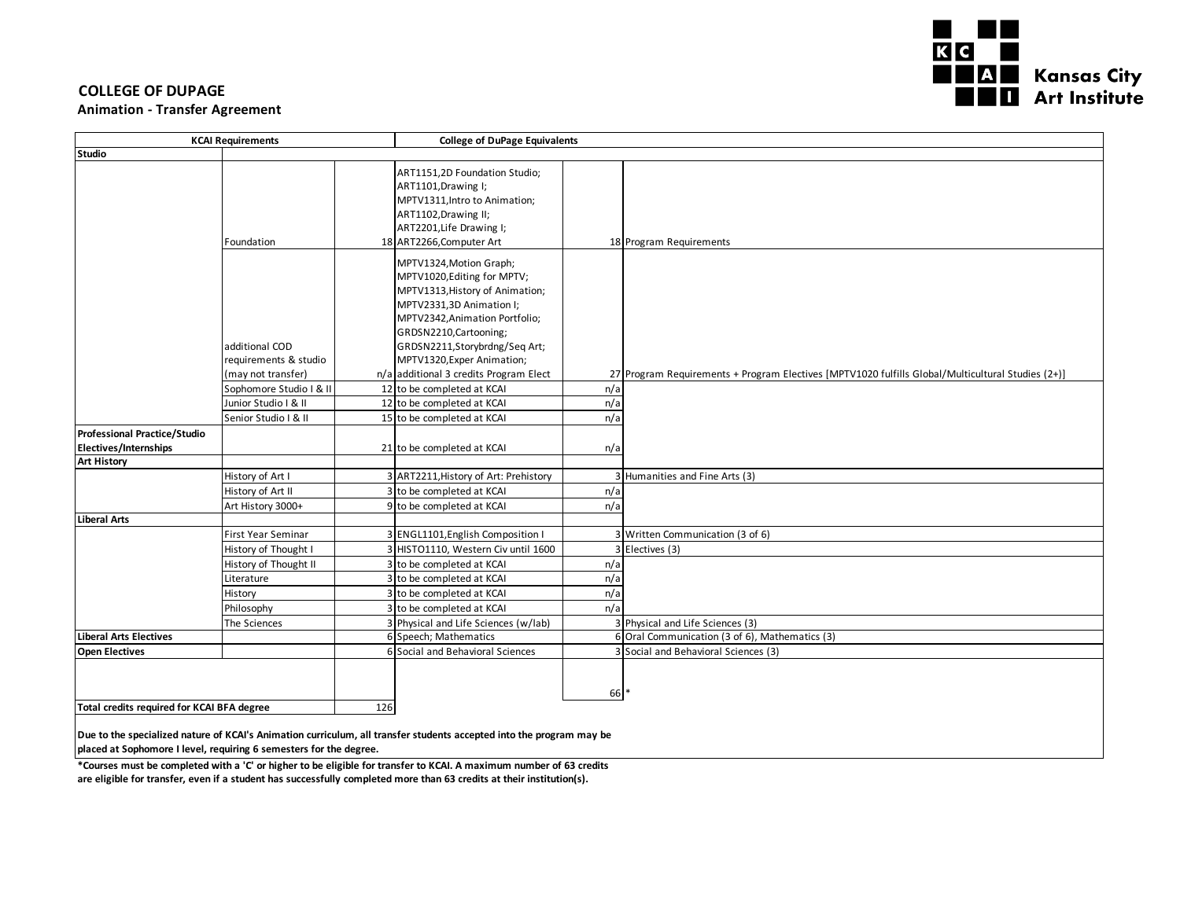

#### **COLLEGE OF DUPAGE**

#### **Animation - Transfer Agreement**

| <b>KCAI Requirements</b>                                                           |                                                               |                                                                                                                                                                                                                                                                                             | <b>College of DuPage Equivalents</b>                                                              |  |  |  |
|------------------------------------------------------------------------------------|---------------------------------------------------------------|---------------------------------------------------------------------------------------------------------------------------------------------------------------------------------------------------------------------------------------------------------------------------------------------|---------------------------------------------------------------------------------------------------|--|--|--|
| Studio                                                                             |                                                               |                                                                                                                                                                                                                                                                                             |                                                                                                   |  |  |  |
|                                                                                    | Foundation                                                    | ART1151,2D Foundation Studio;<br>ART1101, Drawing I;<br>MPTV1311, Intro to Animation;<br>ART1102, Drawing II;<br>ART2201, Life Drawing I;<br>18 ART2266, Computer Art                                                                                                                       | 18 Program Requirements                                                                           |  |  |  |
|                                                                                    | additional COD<br>requirements & studio<br>(may not transfer) | MPTV1324, Motion Graph;<br>MPTV1020, Editing for MPTV;<br>MPTV1313, History of Animation;<br>MPTV2331,3D Animation I;<br>MPTV2342, Animation Portfolio;<br>GRDSN2210, Cartooning;<br>GRDSN2211, Storybrdng/Seq Art;<br>MPTV1320, Exper Animation;<br>n/a additional 3 credits Program Elect | 27 Program Requirements + Program Electives [MPTV1020 fulfills Global/Multicultural Studies (2+)] |  |  |  |
|                                                                                    | Sophomore Studio I & II                                       | 12 to be completed at KCAI                                                                                                                                                                                                                                                                  | n/a                                                                                               |  |  |  |
|                                                                                    | Junior Studio   & II                                          | 12 to be completed at KCAI                                                                                                                                                                                                                                                                  | n/a                                                                                               |  |  |  |
|                                                                                    | Senior Studio   & II                                          | 15 to be completed at KCAI                                                                                                                                                                                                                                                                  | n/a                                                                                               |  |  |  |
| Professional Practice/Studio<br><b>Electives/Internships</b><br><b>Art History</b> |                                                               | 21 to be completed at KCAI                                                                                                                                                                                                                                                                  | n/a                                                                                               |  |  |  |
|                                                                                    | History of Art I                                              | 3 ART2211, History of Art: Prehistory                                                                                                                                                                                                                                                       | 3 Humanities and Fine Arts (3)                                                                    |  |  |  |
|                                                                                    | History of Art II                                             | 3 to be completed at KCAI                                                                                                                                                                                                                                                                   | n/a                                                                                               |  |  |  |
|                                                                                    | Art History 3000+                                             | 9 to be completed at KCAI                                                                                                                                                                                                                                                                   | n/a                                                                                               |  |  |  |
| <b>Liberal Arts</b>                                                                |                                                               |                                                                                                                                                                                                                                                                                             |                                                                                                   |  |  |  |
|                                                                                    | First Year Seminar                                            | 3 ENGL1101, English Composition I                                                                                                                                                                                                                                                           | 3 Written Communication (3 of 6)                                                                  |  |  |  |
|                                                                                    | History of Thought I                                          | 3 HISTO1110, Western Civ until 1600                                                                                                                                                                                                                                                         | 3 Electives (3)                                                                                   |  |  |  |
|                                                                                    | History of Thought II                                         | 3 to be completed at KCAI                                                                                                                                                                                                                                                                   | n/a                                                                                               |  |  |  |
|                                                                                    | Literature                                                    | 3 to be completed at KCAI                                                                                                                                                                                                                                                                   | n/a                                                                                               |  |  |  |
|                                                                                    | History                                                       | 3 to be completed at KCAI                                                                                                                                                                                                                                                                   | n/a                                                                                               |  |  |  |
|                                                                                    | Philosophy                                                    | 3 to be completed at KCAI                                                                                                                                                                                                                                                                   | n/a                                                                                               |  |  |  |
|                                                                                    | The Sciences                                                  | 3 Physical and Life Sciences (w/lab)                                                                                                                                                                                                                                                        | 3 Physical and Life Sciences (3)                                                                  |  |  |  |
| Liberal Arts Electives                                                             |                                                               | 6 Speech; Mathematics                                                                                                                                                                                                                                                                       | 6 Oral Communication (3 of 6), Mathematics (3)                                                    |  |  |  |
| <b>Open Electives</b>                                                              |                                                               | 6 Social and Behavioral Sciences                                                                                                                                                                                                                                                            | 3 Social and Behavioral Sciences (3)                                                              |  |  |  |
| Total credits required for KCAI BFA degree                                         |                                                               | 126                                                                                                                                                                                                                                                                                         | 66                                                                                                |  |  |  |

**Due to the specialized nature of KCAI's Animation curriculum, all transfer students accepted into the program may be placed at Sophomore I level, requiring 6 semesters for the degree.**

**\*Courses must be completed with a 'C' or higher to be eligible for transfer to KCAI. A maximum number of 63 credits are eligible for transfer, even if a student has successfully completed more than 63 credits at their institution(s).**